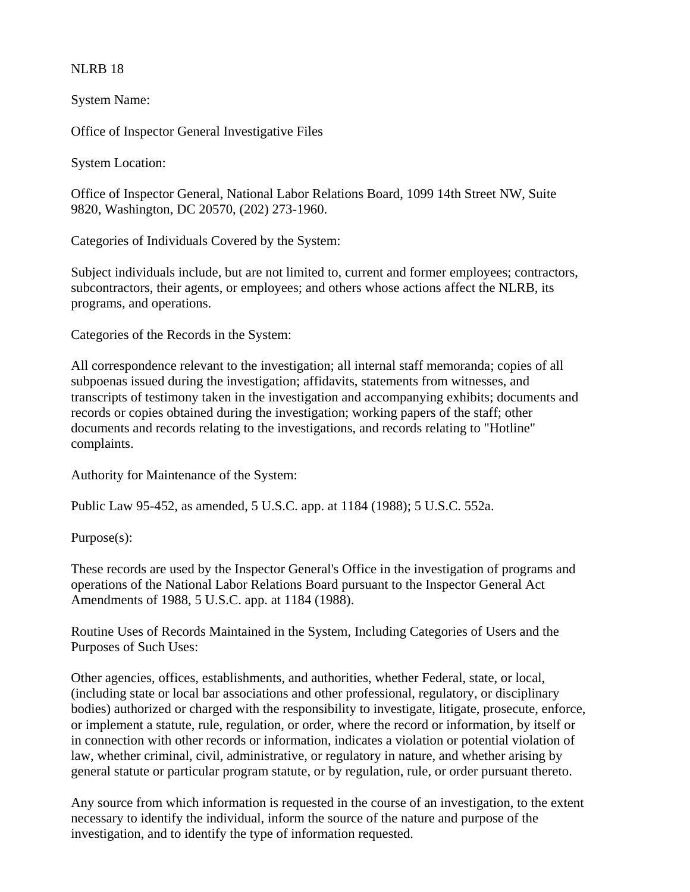## NLRB 18

System Name:

Office of Inspector General Investigative Files

System Location:

Office of Inspector General, National Labor Relations Board, 1099 14th Street NW, Suite 9820, Washington, DC 20570, (202) 273-1960.

Categories of Individuals Covered by the System:

Subject individuals include, but are not limited to, current and former employees; contractors, subcontractors, their agents, or employees; and others whose actions affect the NLRB, its programs, and operations.

Categories of the Records in the System:

All correspondence relevant to the investigation; all internal staff memoranda; copies of all subpoenas issued during the investigation; affidavits, statements from witnesses, and transcripts of testimony taken in the investigation and accompanying exhibits; documents and records or copies obtained during the investigation; working papers of the staff; other documents and records relating to the investigations, and records relating to "Hotline" complaints.

Authority for Maintenance of the System:

Public Law 95-452, as amended, 5 U.S.C. app. at 1184 (1988); 5 U.S.C. 552a.

Purpose(s):

These records are used by the Inspector General's Office in the investigation of programs and operations of the National Labor Relations Board pursuant to the Inspector General Act Amendments of 1988, 5 U.S.C. app. at 1184 (1988).

Routine Uses of Records Maintained in the System, Including Categories of Users and the Purposes of Such Uses:

Other agencies, offices, establishments, and authorities, whether Federal, state, or local, (including state or local bar associations and other professional, regulatory, or disciplinary bodies) authorized or charged with the responsibility to investigate, litigate, prosecute, enforce, or implement a statute, rule, regulation, or order, where the record or information, by itself or in connection with other records or information, indicates a violation or potential violation of law, whether criminal, civil, administrative, or regulatory in nature, and whether arising by general statute or particular program statute, or by regulation, rule, or order pursuant thereto.

Any source from which information is requested in the course of an investigation, to the extent necessary to identify the individual, inform the source of the nature and purpose of the investigation, and to identify the type of information requested.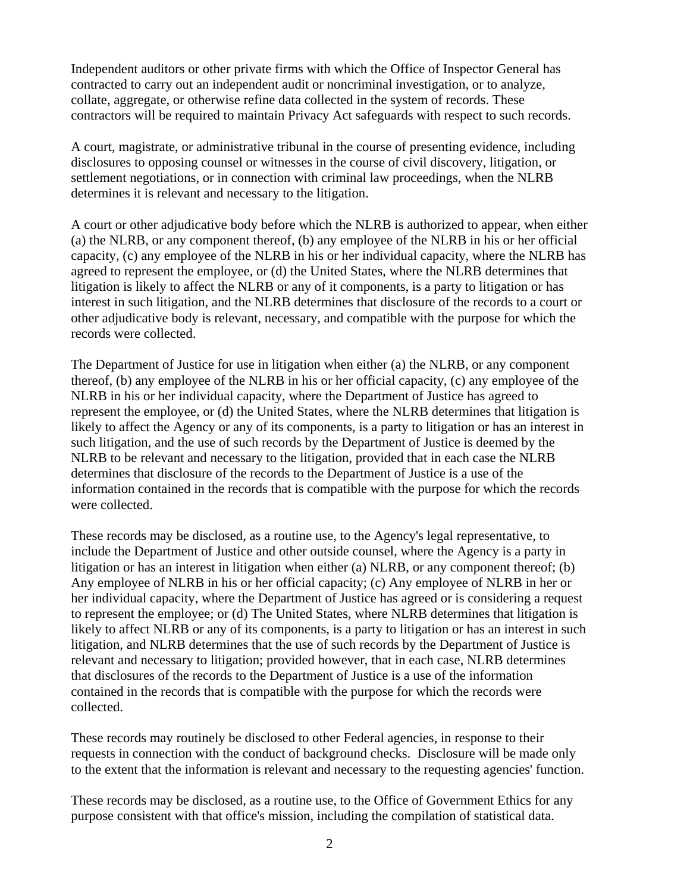Independent auditors or other private firms with which the Office of Inspector General has contracted to carry out an independent audit or noncriminal investigation, or to analyze, collate, aggregate, or otherwise refine data collected in the system of records. These contractors will be required to maintain Privacy Act safeguards with respect to such records.

A court, magistrate, or administrative tribunal in the course of presenting evidence, including disclosures to opposing counsel or witnesses in the course of civil discovery, litigation, or settlement negotiations, or in connection with criminal law proceedings, when the NLRB determines it is relevant and necessary to the litigation.

A court or other adjudicative body before which the NLRB is authorized to appear, when either (a) the NLRB, or any component thereof, (b) any employee of the NLRB in his or her official capacity, (c) any employee of the NLRB in his or her individual capacity, where the NLRB has agreed to represent the employee, or (d) the United States, where the NLRB determines that litigation is likely to affect the NLRB or any of it components, is a party to litigation or has interest in such litigation, and the NLRB determines that disclosure of the records to a court or other adjudicative body is relevant, necessary, and compatible with the purpose for which the records were collected.

The Department of Justice for use in litigation when either (a) the NLRB, or any component thereof, (b) any employee of the NLRB in his or her official capacity, (c) any employee of the NLRB in his or her individual capacity, where the Department of Justice has agreed to represent the employee, or (d) the United States, where the NLRB determines that litigation is likely to affect the Agency or any of its components, is a party to litigation or has an interest in such litigation, and the use of such records by the Department of Justice is deemed by the NLRB to be relevant and necessary to the litigation, provided that in each case the NLRB determines that disclosure of the records to the Department of Justice is a use of the information contained in the records that is compatible with the purpose for which the records were collected.

These records may be disclosed, as a routine use, to the Agency's legal representative, to include the Department of Justice and other outside counsel, where the Agency is a party in litigation or has an interest in litigation when either (a) NLRB, or any component thereof; (b) Any employee of NLRB in his or her official capacity; (c) Any employee of NLRB in her or her individual capacity, where the Department of Justice has agreed or is considering a request to represent the employee; or (d) The United States, where NLRB determines that litigation is likely to affect NLRB or any of its components, is a party to litigation or has an interest in such litigation, and NLRB determines that the use of such records by the Department of Justice is relevant and necessary to litigation; provided however, that in each case, NLRB determines that disclosures of the records to the Department of Justice is a use of the information contained in the records that is compatible with the purpose for which the records were collected.

These records may routinely be disclosed to other Federal agencies, in response to their requests in connection with the conduct of background checks. Disclosure will be made only to the extent that the information is relevant and necessary to the requesting agencies' function.

These records may be disclosed, as a routine use, to the Office of Government Ethics for any purpose consistent with that office's mission, including the compilation of statistical data.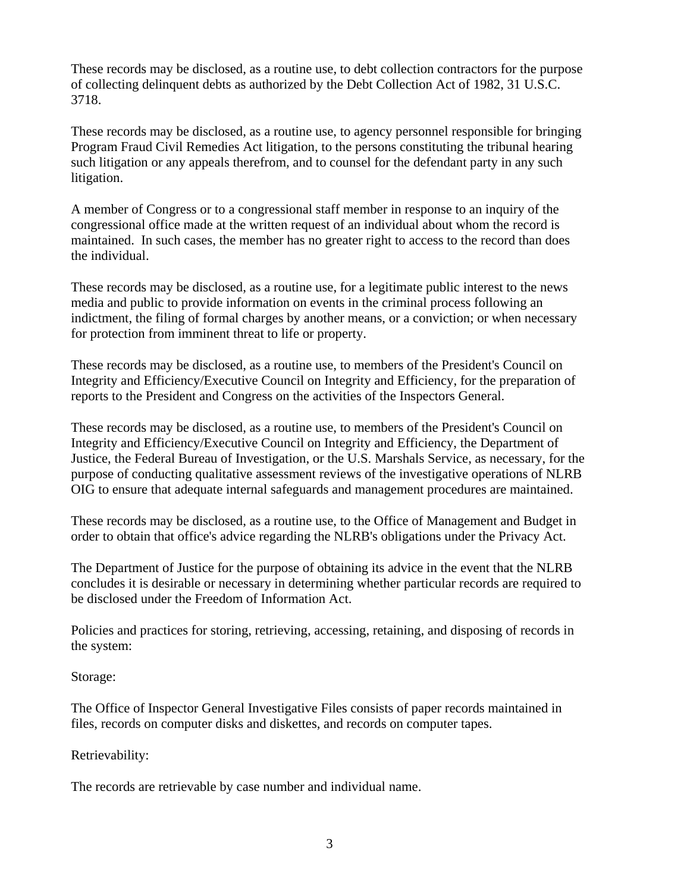These records may be disclosed, as a routine use, to debt collection contractors for the purpose of collecting delinquent debts as authorized by the Debt Collection Act of 1982, 31 U.S.C. 3718.

These records may be disclosed, as a routine use, to agency personnel responsible for bringing Program Fraud Civil Remedies Act litigation, to the persons constituting the tribunal hearing such litigation or any appeals therefrom, and to counsel for the defendant party in any such litigation.

A member of Congress or to a congressional staff member in response to an inquiry of the congressional office made at the written request of an individual about whom the record is maintained. In such cases, the member has no greater right to access to the record than does the individual.

These records may be disclosed, as a routine use, for a legitimate public interest to the news media and public to provide information on events in the criminal process following an indictment, the filing of formal charges by another means, or a conviction; or when necessary for protection from imminent threat to life or property.

These records may be disclosed, as a routine use, to members of the President's Council on Integrity and Efficiency/Executive Council on Integrity and Efficiency, for the preparation of reports to the President and Congress on the activities of the Inspectors General.

These records may be disclosed, as a routine use, to members of the President's Council on Integrity and Efficiency/Executive Council on Integrity and Efficiency, the Department of Justice, the Federal Bureau of Investigation, or the U.S. Marshals Service, as necessary, for the purpose of conducting qualitative assessment reviews of the investigative operations of NLRB OIG to ensure that adequate internal safeguards and management procedures are maintained.

These records may be disclosed, as a routine use, to the Office of Management and Budget in order to obtain that office's advice regarding the NLRB's obligations under the Privacy Act.

The Department of Justice for the purpose of obtaining its advice in the event that the NLRB concludes it is desirable or necessary in determining whether particular records are required to be disclosed under the Freedom of Information Act.

Policies and practices for storing, retrieving, accessing, retaining, and disposing of records in the system:

Storage:

The Office of Inspector General Investigative Files consists of paper records maintained in files, records on computer disks and diskettes, and records on computer tapes.

## Retrievability:

The records are retrievable by case number and individual name.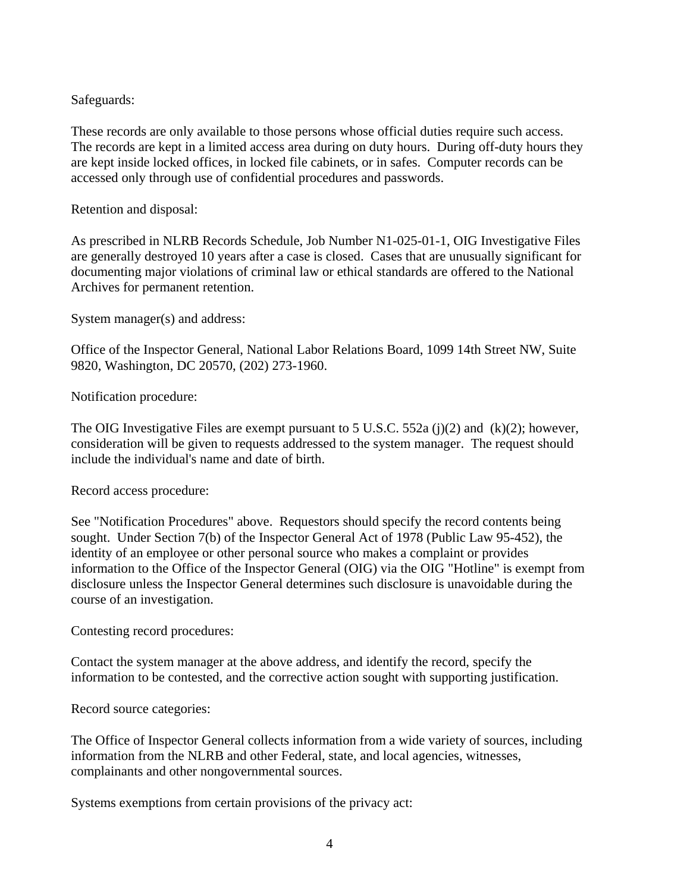## Safeguards:

These records are only available to those persons whose official duties require such access. The records are kept in a limited access area during on duty hours. During off-duty hours they are kept inside locked offices, in locked file cabinets, or in safes. Computer records can be accessed only through use of confidential procedures and passwords.

Retention and disposal:

As prescribed in NLRB Records Schedule, Job Number N1-025-01-1, OIG Investigative Files are generally destroyed 10 years after a case is closed. Cases that are unusually significant for documenting major violations of criminal law or ethical standards are offered to the National Archives for permanent retention.

System manager(s) and address:

Office of the Inspector General, National Labor Relations Board, 1099 14th Street NW, Suite 9820, Washington, DC 20570, (202) 273-1960.

Notification procedure:

The OIG Investigative Files are exempt pursuant to 5 U.S.C. 552a (j)(2) and (k)(2); however, consideration will be given to requests addressed to the system manager. The request should include the individual's name and date of birth.

Record access procedure:

See "Notification Procedures" above. Requestors should specify the record contents being sought. Under Section 7(b) of the Inspector General Act of 1978 (Public Law 95-452), the identity of an employee or other personal source who makes a complaint or provides information to the Office of the Inspector General (OIG) via the OIG "Hotline" is exempt from disclosure unless the Inspector General determines such disclosure is unavoidable during the course of an investigation.

Contesting record procedures:

Contact the system manager at the above address, and identify the record, specify the information to be contested, and the corrective action sought with supporting justification.

Record source categories:

The Office of Inspector General collects information from a wide variety of sources, including information from the NLRB and other Federal, state, and local agencies, witnesses, complainants and other nongovernmental sources.

Systems exemptions from certain provisions of the privacy act: